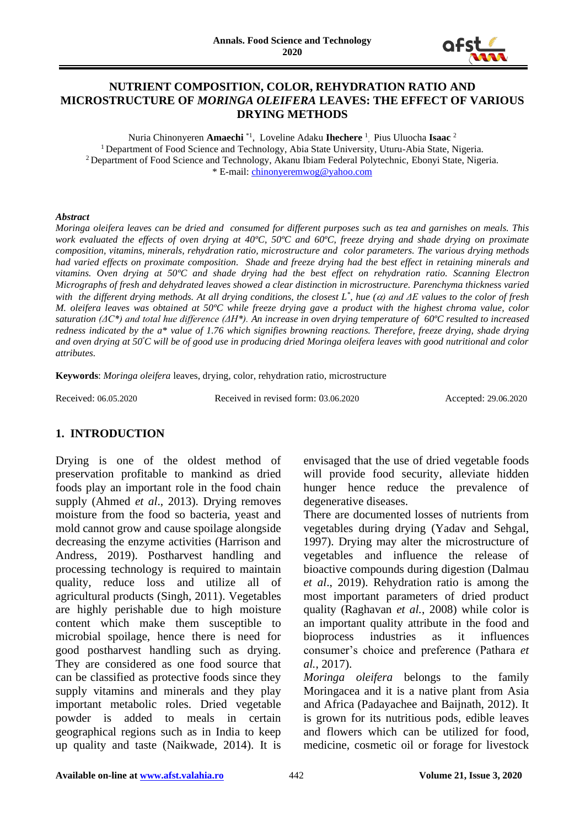

### **NUTRIENT COMPOSITION, COLOR, REHYDRATION RATIO AND MICROSTRUCTURE OF** *MORINGA OLEIFERA* **LEAVES: THE EFFECT OF VARIOUS DRYING METHODS**

Nuria Chinonyeren **Amaechi** \*1 , Loveline Adaku **Ihechere** <sup>1</sup> , Pius Uluocha **Isaac** <sup>2</sup> <sup>1</sup> Department of Food Science and Technology, Abia State University, Uturu-Abia State, Nigeria. <sup>2</sup> Department of Food Science and Technology, Akanu Ibiam Federal Polytechnic, Ebonyi State, Nigeria. \* E-mail: [chinonyeremwog@yahoo.com](mailto:chinonyeremwog@yahoo.com)

#### *Abstract*

*Moringa oleifera leaves can be dried and consumed for different purposes such as tea and garnishes on meals. This work evaluated the effects of oven drying at 40ºC, 50ºC and 60ºC, freeze drying and shade drying on proximate composition, vitamins, minerals, rehydration ratio, microstructure and color parameters. The various drying methods had varied effects on proximate composition. Shade and freeze drying had the best effect in retaining minerals and vitamins. Oven drying at 50ºC and shade drying had the best effect on rehydration ratio. Scanning Electron Micrographs of fresh and dehydrated leaves showed a clear distinction in microstructure. Parenchyma thickness varied with the different drying methods. At all drying conditions, the closest*  $L^*$ *, hue (* $\alpha$ *) and*  $\Delta E$  *values to the color of fresh M. oleifera leaves was obtained at 50°C while freeze drying gave a product with the highest chroma value, color saturation (ΔC\*) and total hue difference (ΔH\*). An increase in oven drying temperature of 60ºC resulted to increased redness indicated by the a\* value of 1.76 which signifies browning reactions. Therefore, freeze drying, shade drying and oven drying at 50<sup>º</sup>C will be of good use in producing dried Moringa oleifera leaves with good nutritional and color attributes.* 

**Keywords**: *Moringa oleifera* leaves, drying, color, rehydration ratio, microstructure

Received: 06.05.2020 Received in revised form: 03.06.2020 Accepted: 29.06.2020

#### **1. INTRODUCTION**

Drying is one of the oldest method of preservation profitable to mankind as dried foods play an important role in the food chain supply (Ahmed *et al*., 2013). Drying removes moisture from the food so bacteria, yeast and mold cannot grow and cause spoilage alongside decreasing the enzyme activities (Harrison and Andress, 2019). Postharvest handling and processing technology is required to maintain quality, reduce loss and utilize all of agricultural products (Singh, 2011). Vegetables are highly perishable due to high moisture content which make them susceptible to microbial spoilage, hence there is need for good postharvest handling such as drying. They are considered as one food source that can be classified as protective foods since they supply vitamins and minerals and they play important metabolic roles. Dried vegetable powder is added to meals in certain geographical regions such as in India to keep up quality and taste (Naikwade, 2014). It is

envisaged that the use of dried vegetable foods will provide food security, alleviate hidden hunger hence reduce the prevalence of degenerative diseases.

There are documented losses of nutrients from vegetables during drying (Yadav and Sehgal, 1997). Drying may alter the microstructure of vegetables and influence the release of bioactive compounds during digestion (Dalmau *et al*., 2019). Rehydration ratio is among the most important parameters of dried product quality (Raghavan *et al.*, 2008) while color is an important quality attribute in the food and bioprocess industries as it influences consumer's choice and preference (Pathara *et al.*, 2017).

*Moringa oleifera* belongs to the family Moringacea and it is a native plant from Asia and Africa (Padayachee and Baijnath, 2012). It is grown for its nutritious pods, edible leaves and flowers which can be utilized for food, medicine, cosmetic oil or forage for livestock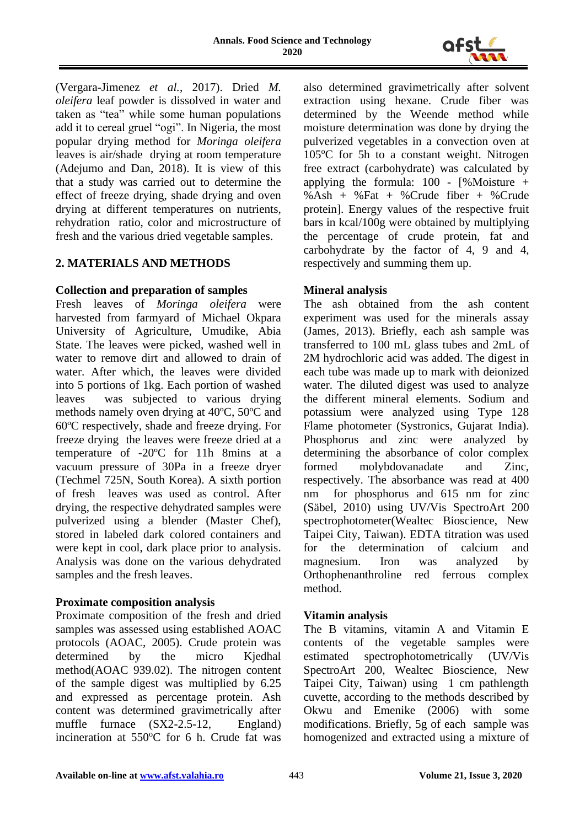

(Vergara-Jimenez *et al.*, 2017). Dried *M. oleifera* leaf powder is dissolved in water and taken as "tea" while some human populations add it to cereal gruel "ogi". In Nigeria, the most popular drying method for *Moringa oleifera* leaves is air/shade drying at room temperature (Adejumo and Dan, 2018). It is view of this that a study was carried out to determine the effect of freeze drying, shade drying and oven drying at different temperatures on nutrients, rehydration ratio, color and microstructure of fresh and the various dried vegetable samples.

# **2. MATERIALS AND METHODS**

### **Collection and preparation of samples**

Fresh leaves of *Moringa oleifera* were harvested from farmyard of Michael Okpara University of Agriculture, Umudike, Abia State. The leaves were picked, washed well in water to remove dirt and allowed to drain of water. After which, the leaves were divided into 5 portions of 1kg. Each portion of washed leaves was subjected to various drying methods namely oven drying at 40ºC, 50ºC and 60ºC respectively, shade and freeze drying. For freeze drying the leaves were freeze dried at a temperature of -20ºC for 11h 8mins at a vacuum pressure of 30Pa in a freeze dryer (Techmel 725N, South Korea). A sixth portion of fresh leaves was used as control. After drying, the respective dehydrated samples were pulverized using a blender (Master Chef), stored in labeled dark colored containers and were kept in cool, dark place prior to analysis. Analysis was done on the various dehydrated samples and the fresh leaves.

# **Proximate composition analysis**

Proximate composition of the fresh and dried samples was assessed using established AOAC protocols (AOAC, 2005). Crude protein was determined by the micro Kjedhal method(AOAC 939.02). The nitrogen content of the sample digest was multiplied by 6.25 and expressed as percentage protein. Ash content was determined gravimetrically after muffle furnace (SX2-2.5-12, England) incineration at  $550^{\circ}$ C for 6 h. Crude fat was

also determined gravimetrically after solvent extraction using hexane. Crude fiber was determined by the Weende method while moisture determination was done by drying the pulverized vegetables in a convection oven at  $105^{\circ}$ C for 5h to a constant weight. Nitrogen free extract (carbohydrate) was calculated by applying the formula:  $100 - \frac{1}{8}$  Moisture + %Ash + %Fat + %Crude fiber + %Crude protein]. Energy values of the respective fruit bars in kcal/100g were obtained by multiplying the percentage of crude protein, fat and carbohydrate by the factor of 4, 9 and 4, respectively and summing them up.

### **Mineral analysis**

The ash obtained from the ash content experiment was used for the minerals assay (James, 2013). Briefly, each ash sample was transferred to 100 mL glass tubes and 2mL of 2M hydrochloric acid was added. The digest in each tube was made up to mark with deionized water. The diluted digest was used to analyze the different mineral elements. Sodium and potassium were analyzed using Type 128 Flame photometer (Systronics, Gujarat India). Phosphorus and zinc were analyzed by determining the absorbance of color complex formed molybdovanadate and Zinc, respectively. The absorbance was read at 400 nm for phosphorus and 615 nm for zinc (Säbel, 2010) using UV/Vis SpectroArt 200 spectrophotometer(Wealtec Bioscience, New Taipei City, Taiwan). EDTA titration was used for the determination of calcium and magnesium. Iron was analyzed by Orthophenanthroline red ferrous complex method.

#### **Vitamin analysis**

The B vitamins, vitamin A and Vitamin E contents of the vegetable samples were estimated spectrophotometrically (UV/Vis SpectroArt 200, Wealtec Bioscience, New Taipei City, Taiwan) using 1 cm pathlength cuvette, according to the methods described by Okwu and Emenike (2006) with some modifications. Briefly, 5g of each sample was homogenized and extracted using a mixture of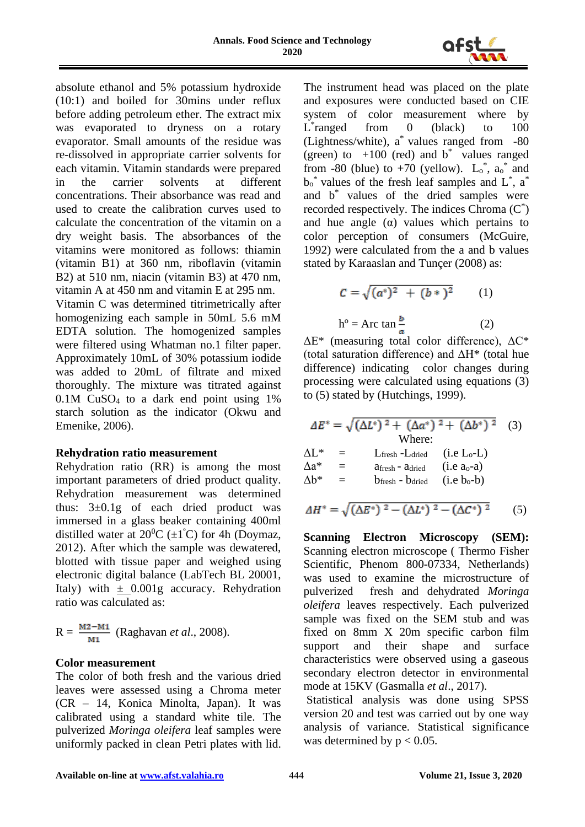

absolute ethanol and 5% potassium hydroxide (10:1) and boiled for 30mins under reflux before adding petroleum ether. The extract mix was evaporated to dryness on a rotary evaporator. Small amounts of the residue was re-dissolved in appropriate carrier solvents for each vitamin. Vitamin standards were prepared in the carrier solvents at different concentrations. Their absorbance was read and used to create the calibration curves used to calculate the concentration of the vitamin on a dry weight basis. The absorbances of the vitamins were monitored as follows: thiamin (vitamin B1) at 360 nm, riboflavin (vitamin B2) at 510 nm, niacin (vitamin B3) at 470 nm, vitamin A at 450 nm and vitamin E at 295 nm.

Vitamin C was determined titrimetrically after homogenizing each sample in 50mL 5.6 mM EDTA solution. The homogenized samples were filtered using Whatman no.1 filter paper. Approximately 10mL of 30% potassium iodide was added to 20mL of filtrate and mixed thoroughly. The mixture was titrated against 0.1M CuSO<sup>4</sup> to a dark end point using 1% starch solution as the indicator (Okwu and Emenike, 2006).

#### **Rehydration ratio measurement**

Rehydration ratio (RR) is among the most important parameters of dried product quality. Rehydration measurement was determined thus: 3±0.1g of each dried product was immersed in a glass beaker containing 400ml distilled water at  $20^0C \ (\pm 1^{\circ}C)$  for 4h (Doymaz, 2012). After which the sample was dewatered, blotted with tissue paper and weighed using electronic digital balance (LabTech BL 20001, Italy) with  $\pm$  0.001g accuracy. Rehydration ratio was calculated as:

$$
R = \frac{M2 - M1}{M1}
$$
 (Raghavan *et al.*, 2008).

# **Color measurement**

The color of both fresh and the various dried leaves were assessed using a Chroma meter (CR – 14, Konica Minolta, Japan). It was calibrated using a standard white tile. The pulverized *Moringa oleifera* leaf samples were uniformly packed in clean Petri plates with lid.

The instrument head was placed on the plate and exposures were conducted based on CIE system of color measurement where by  $\overline{L}^*$ from  $0$  (black) to  $100$ (Lightness/white), a \* values ranged from -80 (green) to  $+100$  (red) and b<sup>\*</sup> values ranged from -80 (blue) to +70 (yellow).  $L_0^*$ ,  $a_0^*$  and  $b_0^*$  values of the fresh leaf samples and  $L^*$ , a<sup>\*</sup> and b\* values of the dried samples were recorded respectively. The indices Chroma  $(C^*)$ and hue angle  $(\alpha)$  values which pertains to color perception of consumers (McGuire, 1992) were calculated from the a and b values stated by Karaaslan and Tunçer (2008) as:

$$
C = \sqrt{(a^*)^2 + (b^*)^2}
$$
 (1)  
h<sup>o</sup> = Arc tan  $\frac{b}{a}$  (2)

 $\Delta E^*$  (measuring total color difference),  $\Delta C^*$ (total saturation difference) and  $\Delta H^*$  (total hue difference) indicating color changes during processing were calculated using equations (3) to (5) stated by (Hutchings, 1999).

|                 | $\Delta E^* = \sqrt{(\Delta L^*)^2 + (\Delta a^*)^2 + (\Delta b^*)^2}$ (3) |              |  |
|-----------------|----------------------------------------------------------------------------|--------------|--|
|                 | Where:                                                                     |              |  |
| $\Lambda$ I $*$ | $L$ fresh - $L$ dried (i.e $L_0$ - $L$ )                                   |              |  |
| $\Delta a^*$    | Afresh - Adried                                                            | $(i.e ao-a)$ |  |
| $\Delta b^*$    | $b_{\text{fresh}}$ - $b_{\text{dried}}$ (i.e $b_{o}$ -b)                   |              |  |
|                 |                                                                            |              |  |

$$
\Delta H^* = \sqrt{(\Delta E^*)^2 - (\Delta L^*)^2 - (\Delta C^*)^2} \tag{5}
$$

**Scanning Electron Microscopy (SEM):**  Scanning electron microscope ( Thermo Fisher Scientific, Phenom 800-07334, Netherlands) was used to examine the microstructure of pulverized fresh and dehydrated *Moringa oleifera* leaves respectively. Each pulverized sample was fixed on the SEM stub and was fixed on 8mm X 20m specific carbon film support and their shape and surface characteristics were observed using a gaseous secondary electron detector in environmental mode at 15KV (Gasmalla *et al*., 2017).

Statistical analysis was done using SPSS version 20 and test was carried out by one way analysis of variance. Statistical significance was determined by  $p < 0.05$ .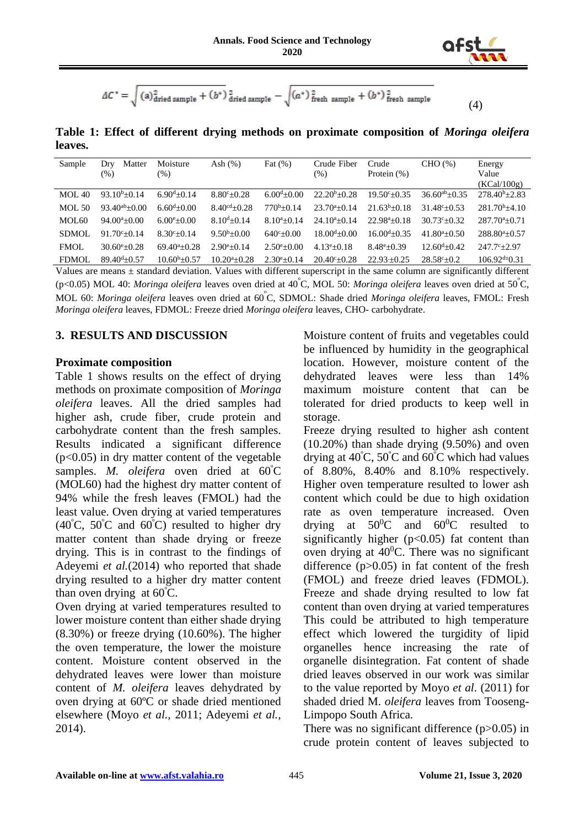

(4)

$$
\Delta C^* = \sqrt{(a)_{\text{dried sample}}^2 + (b^*)^2_{\text{dried sample}}} - \sqrt{(a^*)^2_{\text{fresh sample}} + (b^*)^2_{\text{fresh sample}}}
$$

**Table 1: Effect of different drying methods on proximate composition of** *Moringa oleifera* **leaves.**

| Sample       | Matter<br>Dry        | Moisture               | Ash $(\%)$          | Fat $(\%)$           | Crude Fiber            | Crude                       | CHO (%)                 | Energy                 |
|--------------|----------------------|------------------------|---------------------|----------------------|------------------------|-----------------------------|-------------------------|------------------------|
|              | $(\%)$               | $(\%)$                 |                     |                      | $(\%)$                 | Protein $(\%)$              |                         | Value                  |
|              |                      |                        |                     |                      |                        |                             |                         | (KCal/100g)            |
| MOL 40       | $93.10^{b} + 0.14$   | $6.90^{d}+0.14$        | $8.80^{\circ}+0.28$ | $6.00^{d} + 0.00$    | $22.20^b + 0.28$       | $19.50^{\circ}+0.35$        | $36.60^{ab} + 0.35$     | $278.40^{b} + 2.83$    |
| $MOL$ 50     | $93.40^{ab} + 0.00$  | $6.60^{d} + 0.00$      | $8.40^{cd}+0.28$    | $770^b + 0.14$       | $23.70^{a} + 0.14$     | $21.63^b + 0.18$            | $31.48^{\circ}+0.53$    | $281.70^{b} + 4.10$    |
| MOL60        | $94.00^{a}+0.00$     | $6.00^{\circ}+0.00$    | $8.10^{d} + 0.14$   | $8.10^{a} + 0.14$    | $24.10^{a} + 0.14$     | $22.98^{\mathrm{a}} + 0.18$ | $30.73c + 0.32$         | $287.70^{a}+0.71$      |
| SDMOL        | $91.70c + 0.14$      | $8.30^{\circ}+0.14$    | $9.50^{b} + 0.00$   | $640^{\circ}+0.00$   | $18.00^{d} + 0.00$     | $16.00^{d}$ + 0.35          | $41.80^{a}+0.50$        | $288.80^{a}+0.57$      |
| <b>FMOL</b>  | $30.60^{\circ}+0.28$ | $69.40^{a} + 0.28$     | $2.90^{\circ}+0.14$ | $2.50^{\circ}+0.00$  | $4.13e+0.18$           | $8.48^{\circ}+0.39$         | $12.60^{d} + 0.42$      | $247.7^{\circ}+2.97$   |
| <b>FDMOL</b> | $89.40^{d} + 0.57$   | $10.60^{\rm b} + 0.57$ | $10.20^{a} + 0.28$  | $2.30^{\circ}$ ±0.14 | $20.40^{\circ}$ + 0.28 | $22.93 + 0.25$              | $28.58^{\circ} \pm 0.2$ | $106.92^{d} \div 0.31$ |

Values are means  $\pm$  standard deviation. Values with different superscript in the same column are significantly different (p<0.05) MOL 40: *Moringa oleifera* leaves oven dried at 40ºC, MOL 50: *Moringa oleifera* leaves oven dried at 50ºC, MOL 60: *Moringa oleifera* leaves oven dried at 60ºC, SDMOL: Shade dried *Moringa oleifera* leaves, FMOL: Fresh *Moringa oleifera* leaves, FDMOL: Freeze dried *Moringa oleifera* leaves, CHO- carbohydrate.

#### **3. RESULTS AND DISCUSSION**

#### **Proximate composition**

Table 1 shows results on the effect of drying methods on proximate composition of *Moringa oleifera* leaves. All the dried samples had higher ash, crude fiber, crude protein and carbohydrate content than the fresh samples. Results indicated a significant difference  $(p<0.05)$  in dry matter content of the vegetable samples. *M. oleifera* oven dried at  $60^{\circ}$ C (MOL60) had the highest dry matter content of 94% while the fresh leaves (FMOL) had the least value. Oven drying at varied temperatures  $(40^{\circ}C, 50^{\circ}C \text{ and } 60^{\circ}C)$  resulted to higher dry matter content than shade drying or freeze drying. This is in contrast to the findings of Adeyemi *et al.*(2014) who reported that shade drying resulted to a higher dry matter content than oven drying at  $60^{\circ}$ C.

Oven drying at varied temperatures resulted to lower moisture content than either shade drying  $(8.30\%)$  or freeze drying  $(10.60\%)$ . The higher the oven temperature, the lower the moisture content. Moisture content observed in the dehydrated leaves were lower than moisture content of *M. oleifera* leaves dehydrated by oven drying at 60ºC or shade dried mentioned elsewhere (Moyo *et al.,* 2011; Adeyemi *et al.,* 2014).

Moisture content of fruits and vegetables could be influenced by humidity in the geographical location. However, moisture content of the dehydrated leaves were less than 14% maximum moisture content that can be tolerated for dried products to keep well in storage.

Freeze drying resulted to higher ash content  $(10.20\%)$  than shade drying  $(9.50\%)$  and oven drying at  $40^{\circ}$ C,  $50^{\circ}$ C and  $60^{\circ}$ C which had values of 8.80%, 8.40% and 8.10% respectively. Higher oven temperature resulted to lower ash content which could be due to high oxidation rate as oven temperature increased. Oven drying at  $50^0C$  and  $60^0C$  resulted to significantly higher  $(p<0.05)$  fat content than oven drying at  $40^{\circ}$ C. There was no significant difference  $(p>0.05)$  in fat content of the fresh (FMOL) and freeze dried leaves (FDMOL). Freeze and shade drying resulted to low fat content than oven drying at varied temperatures This could be attributed to high temperature effect which lowered the turgidity of lipid organelles hence increasing the rate of organelle disintegration. Fat content of shade dried leaves observed in our work was similar to the value reported by Moyo *et al*. (2011) for shaded dried M. *oleifera* leaves from Tooseng-Limpopo South Africa.

There was no significant difference  $(p>0.05)$  in crude protein content of leaves subjected to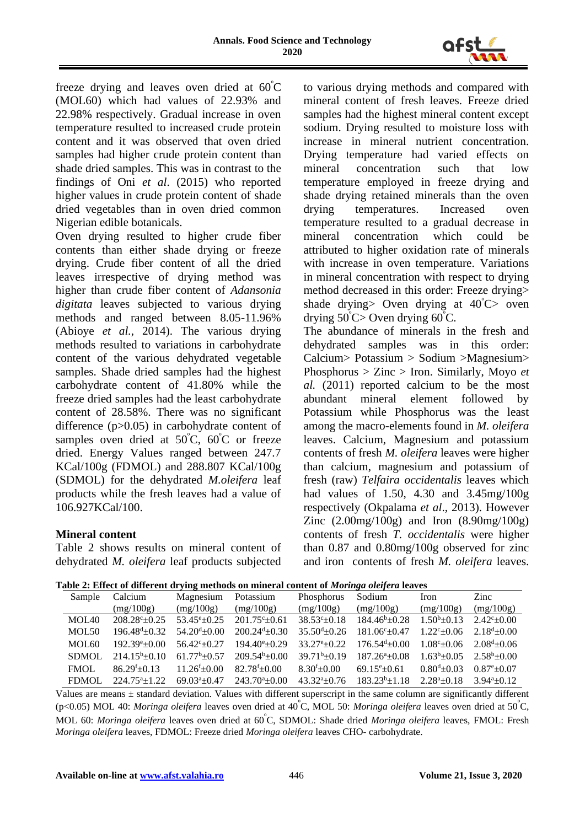

freeze drying and leaves oven dried at  $60^{\circ}$ C (MOL60) which had values of 22.93% and 22.98% respectively. Gradual increase in oven temperature resulted to increased crude protein content and it was observed that oven dried samples had higher crude protein content than shade dried samples. This was in contrast to the findings of Oni *et al*. (2015) who reported higher values in crude protein content of shade dried vegetables than in oven dried common Nigerian edible botanicals.

Oven drying resulted to higher crude fiber contents than either shade drying or freeze drying. Crude fiber content of all the dried leaves irrespective of drying method was higher than crude fiber content of *Adansonia digitata* leaves subjected to various drying methods and ranged between 8.05-11.96% (Abioye *et al.*, 2014). The various drying methods resulted to variations in carbohydrate content of the various dehydrated vegetable samples. Shade dried samples had the highest carbohydrate content of 41.80% while the freeze dried samples had the least carbohydrate content of 28.58%. There was no significant difference (p>0.05) in carbohydrate content of samples oven dried at 50°C, 60°C or freeze dried. Energy Values ranged between 247.7 KCal/100g (FDMOL) and 288.807 KCal/100g (SDMOL) for the dehydrated *M.oleifera* leaf products while the fresh leaves had a value of 106.927KCal/100.

#### **Mineral content**

Table 2 shows results on mineral content of dehydrated *M. oleifera* leaf products subjected

to various drying methods and compared with mineral content of fresh leaves. Freeze dried samples had the highest mineral content except sodium. Drying resulted to moisture loss with increase in mineral nutrient concentration. Drying temperature had varied effects on mineral concentration such that low temperature employed in freeze drying and shade drying retained minerals than the oven drying temperatures. Increased oven temperature resulted to a gradual decrease in mineral concentration which could be attributed to higher oxidation rate of minerals with increase in oven temperature. Variations in mineral concentration with respect to drying method decreased in this order: Freeze drying> shade drying> Oven drying at  $40^{\circ}$ C> oven drying  $50^{\circ}$ C > Oven drying  $60^{\circ}$ C.

The abundance of minerals in the fresh and dehydrated samples was in this order: Calcium> Potassium > Sodium >Magnesium> Phosphorus > Zinc > Iron. Similarly, Moyo *et al.* (2011) reported calcium to be the most abundant mineral element followed by Potassium while Phosphorus was the least among the macro-elements found in *M. oleifera* leaves. Calcium, Magnesium and potassium contents of fresh *M. oleifera* leaves were higher than calcium, magnesium and potassium of fresh (raw) *Telfaira occidentalis* leaves which had values of 1.50, 4.30 and 3.45mg/100g respectively (Okpalama *et al*., 2013). However Zinc (2.00mg/100g) and Iron (8.90mg/100g) contents of fresh *T. occidentalis* were higher than 0.87 and 0.80mg/100g observed for zinc and iron contents of fresh *M. oleifera* leaves.

| Table 2: Effect of different drying methods on mineral content of Moringa oleifera leaves |
|-------------------------------------------------------------------------------------------|
|-------------------------------------------------------------------------------------------|

| Sample            | Calcium                   | Magnesium              | Potassium              | Phosphorus                  | Sodium                       | Iron                       | Zinc                     |
|-------------------|---------------------------|------------------------|------------------------|-----------------------------|------------------------------|----------------------------|--------------------------|
|                   | (mg/100g)                 | (mg/100g)              | (mg/100g)              | (mg/100g)                   | (mg/100g)                    | (mg/100g)                  | (mg/100g)                |
| MOL40             | $208.28^{\circ}$ ± 0.25   | $53.45^{\circ}$ + 0.25 | $201.75^{\circ}+0.61$  | $38.53^{\circ}+0.18$        | $184.46^b \pm 0.28$          | $1.50b + 0.13$             | $2.42^{\circ}$ + 0.00    |
| MOL50             | $196.48^{\rm d} \pm 0.32$ | $54.20^{d} \pm 0.00$   | $200.24^{d} \pm 0.30$  | $35.50^{d}$ + 0.26          | $181.06^{\circ}$ $\pm 0.47$  | $1.22^{\circ}+0.06$        | $2.18^{d} \pm 0.00$      |
| MOL <sub>60</sub> | $192.39e+0.00$            | $56.42^{\circ}$ + 0.27 | $194.40^{\circ}$ +0.29 | $33.27^{\circ}+0.22$        | $176.54^{\mathrm{d}}\pm0.00$ | $1.08^{\circ}+0.06$        | $2.08^{\text{d}} + 0.06$ |
| <b>SDMOL</b>      | $214.15^b \pm 0.10$       | $61.77^b \pm 0.57$     | $209.54^b \pm 0.00$    | $39.71^b \pm 0.19$          | $187.26^a \pm 0.08$          | $1.63^b \pm 0.05$          | $2.58^b \pm 0.00$        |
| <b>FMOL</b>       | $86.29^{f}+0.13$          | $11.26^{f} \pm 0.00$   | $82.78^{f} \pm 0.00$   | $8.30^{f} + 0.00$           | $69.15^{\circ}$ + 0.61       | $0.80^{d}$ + 0.03          | $0.87^{\circ}$ + 0.07    |
| <b>FDMOL</b>      | $224.75^a \pm 1.22$       | $69.03^a + 0.47$       | $243.70^a \pm 0.00$    | $43.32^{\mathrm{a}}\pm0.76$ | $183.23^{b}+1.18$            | $2.28^{\mathrm{a}} + 0.18$ | $3.94a + 0.12$           |

Values are means  $\pm$  standard deviation. Values with different superscript in the same column are significantly different (p<0.05) MOL 40: *Moringa oleifera* leaves oven dried at 40ºC, MOL 50: *Moringa oleifera* leaves oven dried at 50ºC, MOL 60: *Moringa oleifera* leaves oven dried at 60 <sup>º</sup>C, SDMOL: Shade dried *Moringa oleifera* leaves, FMOL: Fresh *Moringa oleifera* leaves, FDMOL: Freeze dried *Moringa oleifera* leaves CHO- carbohydrate.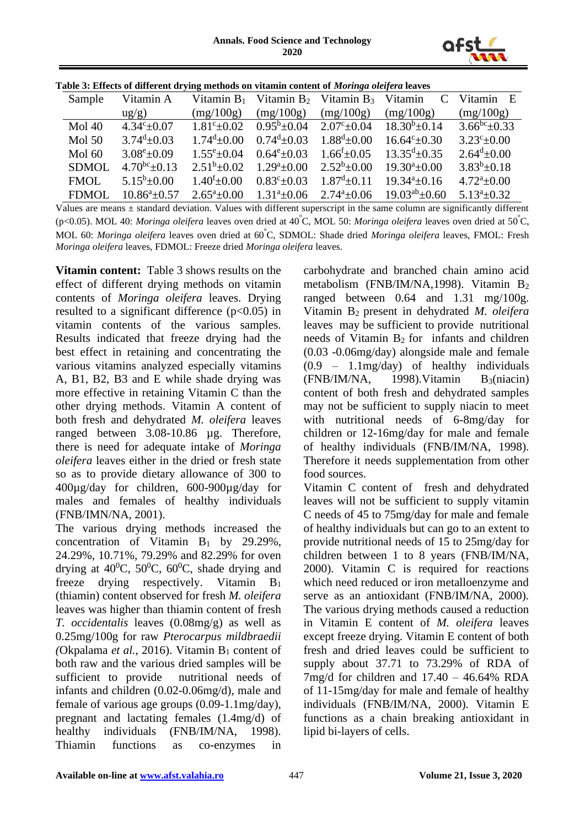

| raoic or enfects of unferent ur ying includus on vitamin content or <i>moring</i> a <i>oleger</i> a icaves |                            |                         |                                     |                         |                                                        |                            |  |  |  |  |
|------------------------------------------------------------------------------------------------------------|----------------------------|-------------------------|-------------------------------------|-------------------------|--------------------------------------------------------|----------------------------|--|--|--|--|
| Sample                                                                                                     | Vitamin A                  |                         |                                     |                         | Vitamin $B_1$ Vitamin $B_2$ Vitamin $B_3$ Vitamin C    | Vitamin E                  |  |  |  |  |
|                                                                                                            | $\text{ug/g}$ )            | (mg/100g)               | (mg/100g)                           | (mg/100g)               | (mg/100g)                                              | (mg/100g)                  |  |  |  |  |
| $Mol$ 40                                                                                                   | $4.34^{\circ} \pm 0.07$    | $1.81^{\circ} \pm 0.02$ |                                     |                         | $0.95^b \pm 0.04$ $2.07^c \pm 0.04$ $18.30^b \pm 0.14$ | $3.66^{bc} \pm 0.33$       |  |  |  |  |
| Mol <sub>50</sub>                                                                                          | $3.74^{\mathrm{d}}\pm0.03$ | $1.74^{\rm d} \pm 0.00$ | $0.74^d \pm 0.03$ $1.88^d \pm 0.00$ |                         | $16.64^{\circ} \pm 0.30$                               | $3.23^{\circ} \pm 0.00$    |  |  |  |  |
| Mol <sub>60</sub>                                                                                          | $3.08^{\rm e}{\pm}0.09$    | $1.55^{\rm e}{\pm}0.04$ | $0.64^{\rm e}{\pm}0.03$             | $1.66^{f} \pm 0.05$     | $13.35^{\text{d}}\pm 0.35$                             | $2.64^d \pm 0.00$          |  |  |  |  |
| <b>SDMOL</b>                                                                                               | $4.70^{bc}$ ± 0.13         | $2.51^b \pm 0.02$       | $1.29^a \pm 0.00$ $2.52^b \pm 0.00$ |                         | $19.30^a \pm 0.00$                                     | $3.83^{b} \pm 0.18$        |  |  |  |  |
| <b>FMOL</b>                                                                                                | $5.15^b \pm 0.00$          | $1.40^{f} \pm 0.00$     | $0.83^{\circ}$ ± 0.03               | $1.87^{\rm d} \pm 0.11$ | $19.34^a \pm 0.16$                                     | $4.72^{\mathrm{a}}\pm0.00$ |  |  |  |  |
| <b>FDMOL</b>                                                                                               | $10.86^a \pm 0.57$         | $2.65^{\circ}$ ±0.00    | $1.31^a \pm 0.06$                   | $2.74^{\circ} \pm 0.06$ | $19.03^{ab} \pm 0.60$                                  | $5.13^a \pm 0.32$          |  |  |  |  |
|                                                                                                            |                            |                         |                                     |                         |                                                        |                            |  |  |  |  |

**Table 3: Effects of different drying methods on vitamin content of** *Moringa oleifera* **leaves**

Values are means  $\pm$  standard deviation. Values with different superscript in the same column are significantly different (p<0.05). MOL 40: *Moringa oleifera* leaves oven dried at 40ºC, MOL 50: *Moringa oleifera* leaves oven dried at 50 <sup>º</sup>C, MOL 60: *Moringa oleifera* leaves oven dried at 60ºC, SDMOL: Shade dried *Moringa oleifera* leaves, FMOL: Fresh *Moringa oleifera* leaves, FDMOL: Freeze dried *Moringa oleifera* leaves.

**Vitamin content:** Table 3 shows results on the effect of different drying methods on vitamin contents of *Moringa oleifera* leaves. Drying resulted to a significant difference  $(p<0.05)$  in vitamin contents of the various samples. Results indicated that freeze drying had the best effect in retaining and concentrating the various vitamins analyzed especially vitamins A, B1, B2, B3 and E while shade drying was more effective in retaining Vitamin C than the other drying methods. Vitamin A content of both fresh and dehydrated *M. oleifera* leaves ranged between 3.08-10.86 µg. Therefore, there is need for adequate intake of *Moringa oleifera* leaves either in the dried or fresh state so as to provide dietary allowance of 300 to 400µg/day for children, 600-900µg/day for males and females of healthy individuals (FNB/IMN/NA, 2001).

The various drying methods increased the concentration of Vitamin  $B_1$  by 29.29%, 24.29%, 10.71%, 79.29% and 82.29% for oven drying at  $40^{\circ}$ C,  $50^{\circ}$ C,  $60^{\circ}$ C, shade drying and freeze drying respectively. Vitamin B<sup>1</sup> (thiamin) content observed for fresh *M. oleifera* leaves was higher than thiamin content of fresh *T. occidentalis* leaves (0.08mg/g) as well as 0.25mg/100g for raw *Pterocarpus mildbraedii (Okpalama et al., 2016).* Vitamin  $B_1$  content of both raw and the various dried samples will be sufficient to provide nutritional needs of infants and children (0.02-0.06mg/d), male and female of various age groups (0.09-1.1mg/day), pregnant and lactating females (1.4mg/d) of healthy individuals (FNB/IM/NA, 1998). Thiamin functions as co-enzymes in carbohydrate and branched chain amino acid metabolism (FNB/IM/NA,1998). Vitamin B<sup>2</sup> ranged between 0.64 and 1.31 mg/100g. Vitamin B<sup>2</sup> present in dehydrated *M. oleifera* leaves may be sufficient to provide nutritional needs of Vitamin B<sup>2</sup> for infants and children (0.03 -0.06mg/day) alongside male and female (0.9 – 1.1mg/day) of healthy individuals  $(FNB/IM/NA, 1998)$ . Vitamin  $B_3(niacin)$ content of both fresh and dehydrated samples may not be sufficient to supply niacin to meet with nutritional needs of 6-8mg/day for children or 12-16mg/day for male and female of healthy individuals (FNB/IM/NA, 1998). Therefore it needs supplementation from other food sources.

Vitamin C content of fresh and dehydrated leaves will not be sufficient to supply vitamin C needs of 45 to 75mg/day for male and female of healthy individuals but can go to an extent to provide nutritional needs of 15 to 25mg/day for children between 1 to 8 years (FNB/IM/NA, 2000). Vitamin C is required for reactions which need reduced or iron metalloenzyme and serve as an antioxidant (FNB/IM/NA, 2000). The various drying methods caused a reduction in Vitamin E content of *M. oleifera* leaves except freeze drying. Vitamin E content of both fresh and dried leaves could be sufficient to supply about 37.71 to 73.29% of RDA of  $7mg/d$  for children and  $17.40 - 46.64\%$  RDA of 11-15mg/day for male and female of healthy individuals (FNB/IM/NA, 2000). Vitamin E functions as a chain breaking antioxidant in lipid bi-layers of cells.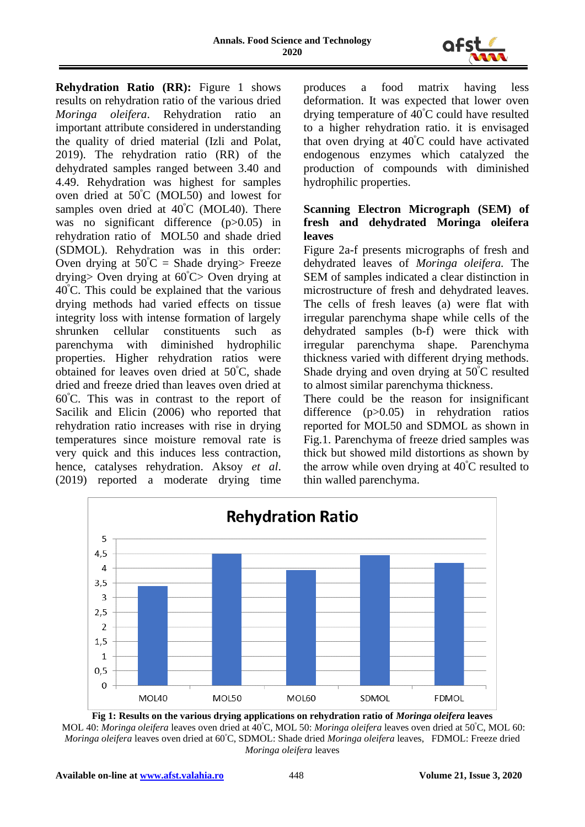

**Rehydration Ratio (RR):** Figure 1 shows results on rehydration ratio of the various dried *Moringa oleifera*. Rehydration ratio an important attribute considered in understanding the quality of dried material (Izli and Polat, 2019). The rehydration ratio (RR) of the dehydrated samples ranged between 3.40 and 4.49. Rehydration was highest for samples oven dried at 50<sup>º</sup>C (MOL50) and lowest for samples oven dried at  $40^{\circ}$ C (MOL40). There was no significant difference (p>0.05) in rehydration ratio of MOL50 and shade dried (SDMOL). Rehydration was in this order: Oven drying at  $50^{\circ}$ C = Shade drying> Freeze drying> Oven drying at  $60^{\circ}$ C> Oven drying at 40<sup>º</sup>C. This could be explained that the various drying methods had varied effects on tissue integrity loss with intense formation of largely shrunken cellular constituents such as parenchyma with diminished hydrophilic properties. Higher rehydration ratios were obtained for leaves oven dried at 50<sup>º</sup>C, shade dried and freeze dried than leaves oven dried at 60<sup>º</sup>C. This was in contrast to the report of Sacilik and Elicin (2006) who reported that rehydration ratio increases with rise in drying temperatures since moisture removal rate is very quick and this induces less contraction, hence, catalyses rehydration. Aksoy *et al*. (2019) reported a moderate drying time

produces a food matrix having less deformation. It was expected that lower oven drying temperature of 40<sup>º</sup>C could have resulted to a higher rehydration ratio. it is envisaged that oven drying at  $40^{\circ}$ C could have activated endogenous enzymes which catalyzed the production of compounds with diminished hydrophilic properties.

# **Scanning Electron Micrograph (SEM) of fresh and dehydrated Moringa oleifera leaves**

Figure 2a-f presents micrographs of fresh and dehydrated leaves of *Moringa oleifera.* The SEM of samples indicated a clear distinction in microstructure of fresh and dehydrated leaves. The cells of fresh leaves (a) were flat with irregular parenchyma shape while cells of the dehydrated samples (b-f) were thick with irregular parenchyma shape. Parenchyma thickness varied with different drying methods. Shade drying and oven drying at 50<sup>º</sup>C resulted to almost similar parenchyma thickness.

There could be the reason for insignificant difference (p>0.05) in rehydration ratios reported for MOL50 and SDMOL as shown in Fig.1. Parenchyma of freeze dried samples was thick but showed mild distortions as shown by the arrow while oven drying at  $40^{\circ}$ C resulted to thin walled parenchyma.



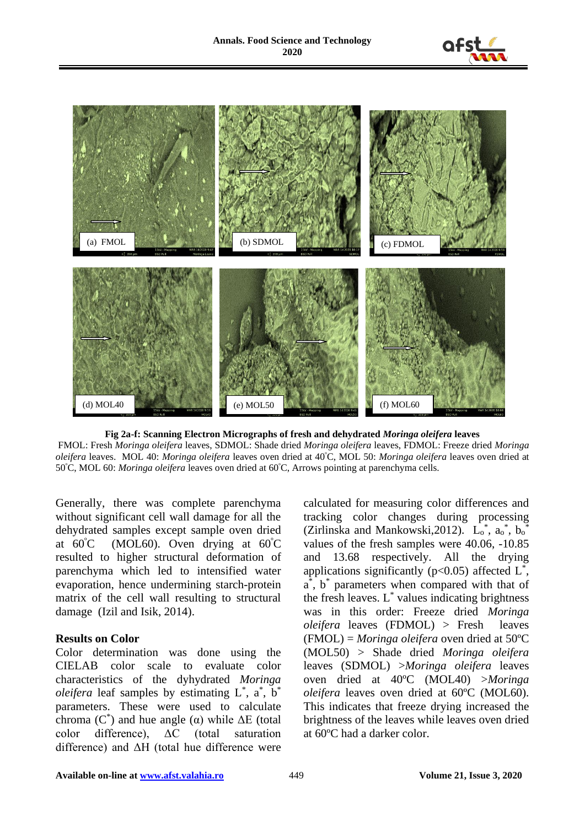



**Fig 2a-f: Scanning Electron Micrographs of fresh and dehydrated** *Moringa oleifera* **leaves** FMOL: Fresh *Moringa oleifera* leaves, SDMOL: Shade dried *Moringa oleifera* leaves, FDMOL: Freeze dried *Moringa oleifera* leaves. MOL 40: *Moringa oleifera* leaves oven dried at 40<sup>º</sup>C, MOL 50: *Moringa oleifera* leaves oven dried at 50<sup>º</sup>C, MOL 60: *Moringa oleifera* leaves oven dried at 60<sup>º</sup>C, Arrows pointing at parenchyma cells.

Generally, there was complete parenchyma without significant cell wall damage for all the dehydrated samples except sample oven dried at  $60^{\circ}$ C (MOL60). Oven drying at  $60^{\circ}$ C resulted to higher structural deformation of parenchyma which led to intensified water evaporation, hence undermining starch-protein matrix of the cell wall resulting to structural damage (Izil and Isik, 2014).

#### **Results on Color**

Color determination was done using the CIELAB color scale to evaluate color characteristics of the dyhydrated *Moringa oleifera* leaf samples by estimating  $L^*$ ,  $a^*$ ,  $b^*$ parameters. These were used to calculate chroma ( $C^*$ ) and hue angle (α) while  $ΔE$  (total color difference), ΔC (total saturation difference) and ΔH (total hue difference were calculated for measuring color differences and tracking color changes during processing (Zirlinska and Mankowski, 2012).  $L_0^*$ ,  $a_0^*$ ,  $b_0^*$ values of the fresh samples were 40.06, -10.85 and 13.68 respectively. All the drying applications significantly ( $p<0.05$ ) affected  $L^*$ , a<sup>\*</sup>, b<sup>\*</sup> parameters when compared with that of the fresh leaves.  $L^*$  values indicating brightness was in this order: Freeze dried *Moringa oleifera* leaves (FDMOL) > Fresh leaves (FMOL) = *Moringa oleifera* oven dried at 50ºC (MOL50) > Shade dried *Moringa oleifera* leaves (SDMOL) >*Moringa oleifera* leaves oven dried at 40ºC (MOL40) >*Moringa oleifera* leaves oven dried at 60ºC (MOL60). This indicates that freeze drying increased the brightness of the leaves while leaves oven dried at 60ºC had a darker color.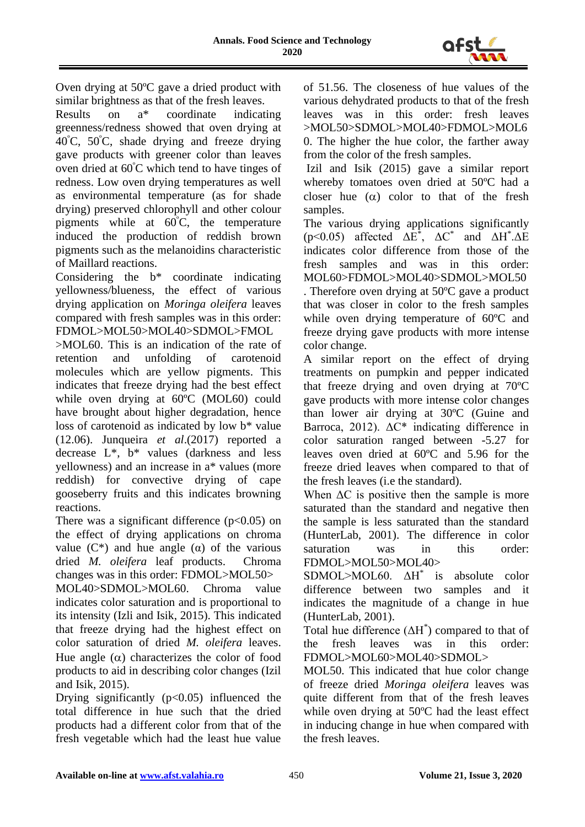

Oven drying at 50ºC gave a dried product with

similar brightness as that of the fresh leaves.<br>Results on  $a^*$  coordinate indication Results on a\* coordinate indicating greenness/redness showed that oven drying at 40<sup>º</sup>C, 50<sup>º</sup>C, shade drying and freeze drying gave products with greener color than leaves oven dried at 60<sup>º</sup>C which tend to have tinges of redness. Low oven drying temperatures as well as environmental temperature (as for shade drying) preserved chlorophyll and other colour pigments while at 60<sup>º</sup>C, the temperature induced the production of reddish brown pigments such as the melanoidins characteristic of Maillard reactions.

Considering the b\* coordinate indicating yellowness/blueness, the effect of various drying application on *Moringa oleifera* leaves compared with fresh samples was in this order: FDMOL>MOL50>MOL40>SDMOL>FMOL

>MOL60. This is an indication of the rate of retention and unfolding of carotenoid molecules which are yellow pigments. This indicates that freeze drying had the best effect while oven drying at 60ºC (MOL60) could have brought about higher degradation, hence loss of carotenoid as indicated by low b\* value (12.06). Junqueira *et al*.(2017) reported a decrease L\*, b\* values (darkness and less yellowness) and an increase in a\* values (more reddish) for convective drying of cape gooseberry fruits and this indicates browning reactions.

There was a significant difference  $(p<0.05)$  on the effect of drying applications on chroma value  $(C^*)$  and hue angle  $(\alpha)$  of the various dried *M. oleifera* leaf products. Chroma changes was in this order: FDMOL>MOL50>

MOL40>SDMOL>MOL60. Chroma value indicates color saturation and is proportional to its intensity (Izli and Isik, 2015). This indicated that freeze drying had the highest effect on color saturation of dried *M. oleifera* leaves. Hue angle  $(\alpha)$  characterizes the color of food products to aid in describing color changes (Izil and Isik, 2015).

Drying significantly  $(p<0.05)$  influenced the total difference in hue such that the dried products had a different color from that of the fresh vegetable which had the least hue value of 51.56. The closeness of hue values of the various dehydrated products to that of the fresh leaves was in this order: fresh leaves >MOL50>SDMOL>MOL40>FDMOL>MOL6 0. The higher the hue color, the farther away from the color of the fresh samples.

Izil and Isik (2015) gave a similar report whereby tomatoes oven dried at 50ºC had a closer hue  $(\alpha)$  color to that of the fresh samples.

The various drying applications significantly (p<0.05) affected  $\Delta E^*$ ,  $\Delta C^*$  and  $\Delta H^* \Delta E$ indicates color difference from those of the fresh samples and was in this order: MOL60>FDMOL>MOL40>SDMOL>MOL50 . Therefore oven drying at 50ºC gave a product that was closer in color to the fresh samples while oven drying temperature of 60ºC and freeze drying gave products with more intense color change.

A similar report on the effect of drying treatments on pumpkin and pepper indicated that freeze drying and oven drying at 70ºC gave products with more intense color changes than lower air drying at 30ºC (Guine and Barroca, 2012).  $\Delta C^*$  indicating difference in color saturation ranged between -5.27 for leaves oven dried at 60ºC and 5.96 for the freeze dried leaves when compared to that of the fresh leaves (i.e the standard).

When  $\Delta C$  is positive then the sample is more saturated than the standard and negative then the sample is less saturated than the standard (HunterLab, 2001). The difference in color saturation was in this order: FDMOL>MOL50>MOL40>

SDMOL>MOL60. ΔH<sup>\*</sup> is absolute color difference between two samples and it indicates the magnitude of a change in hue (HunterLab, 2001).

Total hue difference  $(\Delta H^*)$  compared to that of the fresh leaves was in this order: FDMOL>MOL60>MOL40>SDMOL>

MOL50. This indicated that hue color change of freeze dried *Moringa oleifera* leaves was quite different from that of the fresh leaves while oven drying at 50ºC had the least effect in inducing change in hue when compared with the fresh leaves.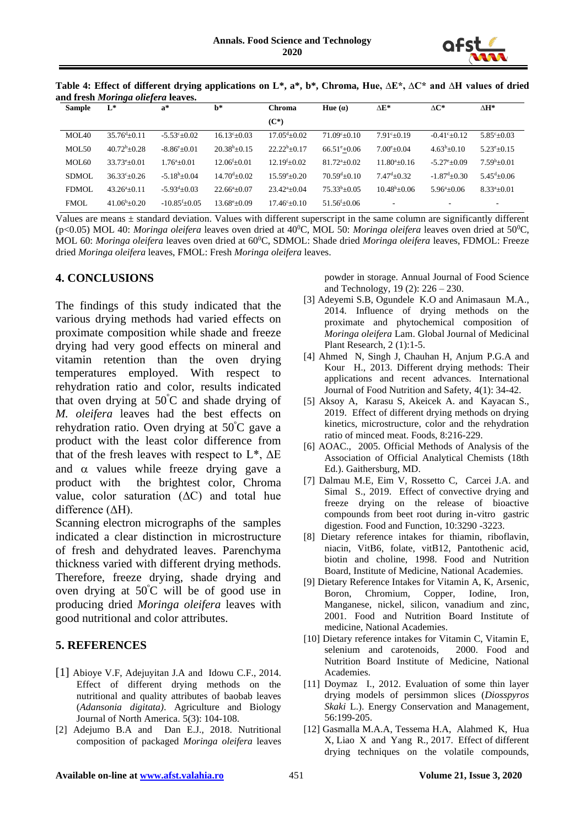

|                                    | Table 4: Effect of different drying applications on L*, a*, b*, Chroma, Hue, $\Delta E^*$ , $\Delta C^*$ and $\Delta H$ values of dried |  |  |  |  |
|------------------------------------|-----------------------------------------------------------------------------------------------------------------------------------------|--|--|--|--|
| and fresh Moringa oliefera leaves. |                                                                                                                                         |  |  |  |  |

| <b>Sample</b> | L*                     | $a^*$                    | $h^*$                       | Chroma                      | Hue $(a)$                   | $\Delta E^*$           | $\Delta C^*$               | $\Delta H^*$             |
|---------------|------------------------|--------------------------|-----------------------------|-----------------------------|-----------------------------|------------------------|----------------------------|--------------------------|
|               |                        |                          |                             | $(C^*)$                     |                             |                        |                            |                          |
| MOL40         | $35.76^{d} + 0.11$     | $-5.53^{\circ} \pm 0.02$ | $16.13^{c}+0.03$            | $17.05^{\text{d}}\pm 0.02$  | $71.09^{\circ}+0.10$        | $7.91^{\circ}+0.19$    | $-0.41^{\circ}+0.12$       | $5.85^{\circ}+0.03$      |
| MOL50         | $40.72^b + 0.28$       | $-8.86^{\circ}+0.01$     | $20.38^b + 0.15$            | $22.22^b + 0.17$            | $66.51^{\circ}+0.06$        | $7.00^{\circ}+0.04$    | $4.63^b \pm 0.10$          | $5.23^{\rm e}{\pm}0.15$  |
| MOL60         | $33.73^{\circ}$ ±0.01  | $1.76^{\rm a} \pm 0.01$  | $12.06^{\mathrm{f}}\pm0.01$ | $12.19^{f}+0.02$            | $81.72^{a} + 0.02$          | $11.80^{a}+0.16$       | $-5.27^{\circ} \pm 0.09$   | $7.59^{\rm b} + 0.01$    |
| <b>SDMOL</b>  | $36.33^{\circ}+0.26$   | $-5.18^b \pm 0.04$       | $14.70^{d} + 0.02$          | $15.59^{\circ}+0.20$        | $70.59^{d}+0.10$            | $7.47^{d} + 0.32$      | $-1.87^{\mathrm{d}}$ +0.30 | $5.45^{\text{d}} + 0.06$ |
| <b>FDMOL</b>  | $43.26^{\circ}+0.11$   | $-5.93^{d}+0.03$         | $22.66^{\mathrm{a}} + 0.07$ | $23.42^{\mathrm{a}} + 0.04$ | $75.33^b \pm 0.05$          | $10.48^{\rm b} + 0.06$ | $5.96^{\circ}$ ±0.06       | $8.33^a \pm 0.01$        |
| <b>FMOL</b>   | $41.06^{\rm b} + 0.20$ | $-10.85^{f}+0.05$        | $13.68^{\circ} \pm 0.09$    | $17.46^{\circ}+0.10$        | $51.56^{\mathrm{f}}\pm0.06$ |                        | $\overline{\phantom{a}}$   |                          |

Values are means  $\pm$  standard deviation. Values with different superscript in the same column are significantly different (p<0.05) MOL 40: *Moringa oleifera* leaves oven dried at 40<sup>o</sup>C, MOL 50: *Moringa oleifera* leaves oven dried at 50<sup>o</sup>C, MOL 60: *Moringa oleifera* leaves oven dried at 60°C, SDMOL: Shade dried *Moringa oleifera* leaves, FDMOL: Freeze dried *Moringa oleifera* leaves, FMOL: Fresh *Moringa oleifera* leaves.

# **4. CONCLUSIONS**

The findings of this study indicated that the various drying methods had varied effects on proximate composition while shade and freeze drying had very good effects on mineral and vitamin retention than the oven drying temperatures employed. With respect to rehydration ratio and color, results indicated that oven drying at  $50^{\circ}$ C and shade drying of *M. oleifera* leaves had the best effects on rehydration ratio. Oven drying at 50<sup>º</sup>C gave a product with the least color difference from that of the fresh leaves with respect to  $L^*$ ,  $\Delta E$ and  $\alpha$  values while freeze drying gave a product with the brightest color, Chroma value, color saturation  $(AC)$  and total hue difference (ΔH).

Scanning electron micrographs of the samples indicated a clear distinction in microstructure of fresh and dehydrated leaves. Parenchyma thickness varied with different drying methods. Therefore, freeze drying, shade drying and oven drying at  $50^{\circ}$ C will be of good use in producing dried *Moringa oleifera* leaves with good nutritional and color attributes.

# **5. REFERENCES**

- [1] Abioye V.F, Adejuvitan J.A and Idowu C.F., 2014. Effect of different drying methods on the nutritional and quality attributes of baobab leaves (*Adansonia digitata)*. Agriculture and Biology Journal of North America. 5(3): 104-108.
- [2] Adejumo B.A and Dan E.J., 2018. Nutritional composition of packaged *Moringa oleifera* leaves

powder in storage. Annual Journal of Food Science and Technology, 19 (2): 226 – 230.

- [3] Adeyemi S.B, Ogundele K.O and Animasaun M.A., 2014. Influence of drying methods on the proximate and phytochemical composition of *Moringa oleifera* Lam. Global Journal of Medicinal Plant Research, 2 (1):1-5.
- [4] Ahmed N, Singh J, Chauhan H, Anjum P.G.A and Kour H., 2013. Different drying methods: Their applications and recent advances. International Journal of Food Nutrition and Safety, 4(1): 34-42.
- [5] Aksoy A, Karasu S, Akeicek A. and Kayacan S., 2019. Effect of different drying methods on drying kinetics, microstructure, color and the rehydration ratio of minced meat. Foods, 8:216-229.
- [6] AOAC., 2005. Official Methods of Analysis of the Association of Official Analytical Chemists (18th Ed.). Gaithersburg, MD.
- [7] Dalmau M.E, Eim V, Rossetto C, Carcei J.A. and Simal S., 2019. Effect of convective drying and freeze drying on the release of bioactive compounds from beet root during in-vitro gastric digestion. Food and Function, 10:3290 -3223.
- [8] Dietary reference intakes for thiamin, riboflavin, niacin, VitB6, folate, vitB12, Pantothenic acid, biotin and choline, 1998. Food and Nutrition Board, Institute of Medicine, National Academies.
- [9] Dietary Reference Intakes for Vitamin A, K, Arsenic, Boron, Chromium, Copper, Iodine, Iron, Manganese, nickel, silicon, vanadium and zinc, 2001. Food and Nutrition Board Institute of medicine, National Academies.
- [10] Dietary reference intakes for Vitamin C, Vitamin E, selenium and carotenoids, 2000. Food and Nutrition Board Institute of Medicine, National Academies.
- [11] Doymaz I., 2012. Evaluation of some thin layer drying models of persimmon slices (*Diosspyros Skaki* L.). Energy Conservation and Management, 56:199-205.
- [12] Gasmalla M.A.A, Tessema H.A, Alahmed K, Hua X, Liao X and Yang R., 2017. Effect of different drying techniques on the volatile compounds,